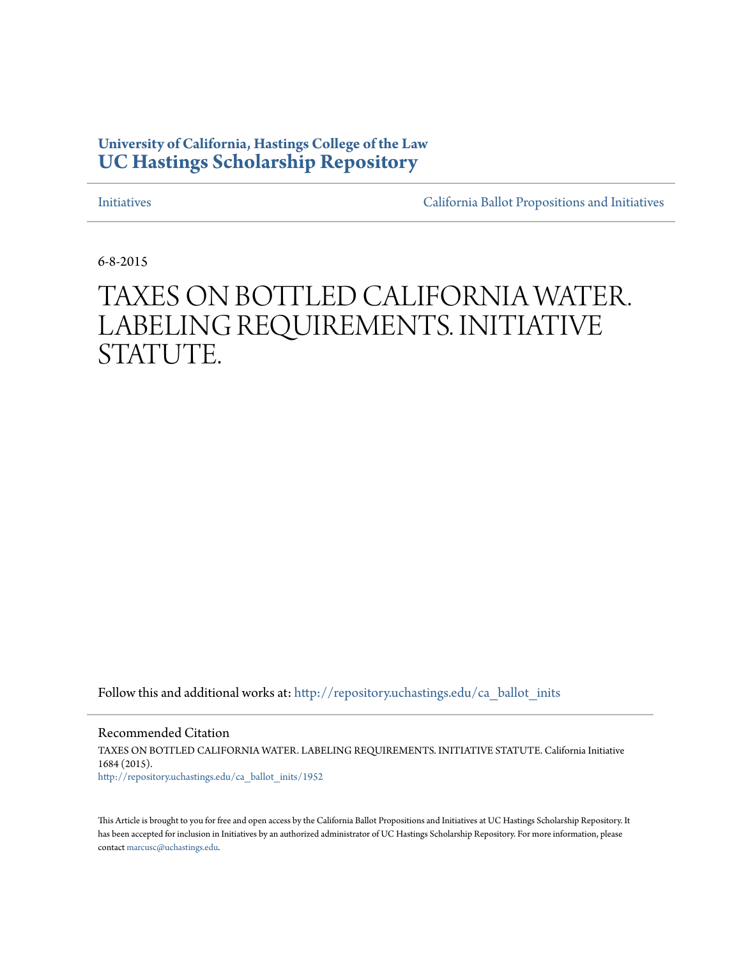# **University of California, Hastings College of the Law [UC Hastings Scholarship Repository](http://repository.uchastings.edu?utm_source=repository.uchastings.edu%2Fca_ballot_inits%2F1952&utm_medium=PDF&utm_campaign=PDFCoverPages)**

[Initiatives](http://repository.uchastings.edu/ca_ballot_inits?utm_source=repository.uchastings.edu%2Fca_ballot_inits%2F1952&utm_medium=PDF&utm_campaign=PDFCoverPages) [California Ballot Propositions and Initiatives](http://repository.uchastings.edu/ca_ballots?utm_source=repository.uchastings.edu%2Fca_ballot_inits%2F1952&utm_medium=PDF&utm_campaign=PDFCoverPages)

6-8-2015

# TAXES ON BOTTLED CALIFORNIA WATER. LABELING REQUIREMENTS. INITIATIVE STATUTE.

Follow this and additional works at: [http://repository.uchastings.edu/ca\\_ballot\\_inits](http://repository.uchastings.edu/ca_ballot_inits?utm_source=repository.uchastings.edu%2Fca_ballot_inits%2F1952&utm_medium=PDF&utm_campaign=PDFCoverPages)

Recommended Citation TAXES ON BOTTLED CALIFORNIA WATER. LABELING REQUIREMENTS. INITIATIVE STATUTE. California Initiative 1684 (2015). [http://repository.uchastings.edu/ca\\_ballot\\_inits/1952](http://repository.uchastings.edu/ca_ballot_inits/1952?utm_source=repository.uchastings.edu%2Fca_ballot_inits%2F1952&utm_medium=PDF&utm_campaign=PDFCoverPages)

This Article is brought to you for free and open access by the California Ballot Propositions and Initiatives at UC Hastings Scholarship Repository. It has been accepted for inclusion in Initiatives by an authorized administrator of UC Hastings Scholarship Repository. For more information, please contact [marcusc@uchastings.edu](mailto:marcusc@uchastings.edu).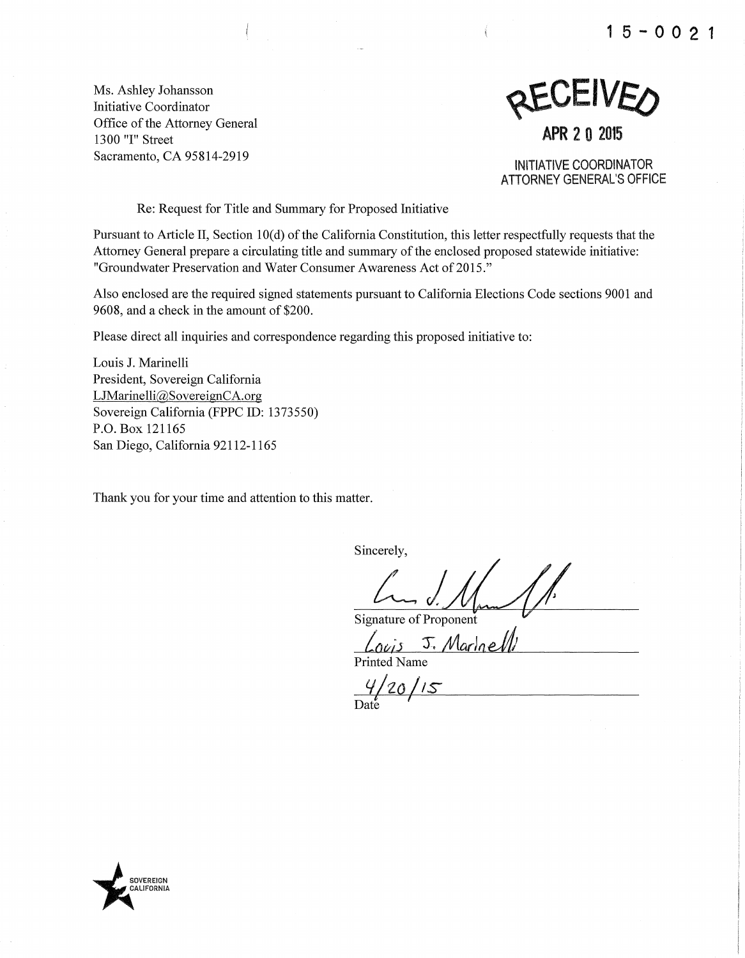**1 5 - 0 0 2 1** 

Ms. Ashley Johansson Initiative Coordinator Office of the Attorney General 1300 "I" Street Sacramento, CA 95814-2919



**APR 2 0 2015** 

INITIATIVE COORDINATOR **ATTORNEY GENERAL'S OFFICE** 

Re: Request for Title and Summary for Proposed Initiative

Pursuant to Article II, Section 10(d) of the California Constitution, this letter respectfully requests that the Attorney General prepare a circulating title and summary of the enclosed proposed statewide initiative: "Groundwater Preservation and Water Consumer Awareness Act of 2015."

Also enclosed are the required signed statements pursuant to California Elections Code sections 9001 and 9608, and a check in the amount of \$200.

Please direct all inquiries and correspondence regarding this proposed initiative to:

Louis J. Marinelli President, Sovereign California LJMarinelli@SovereignCA.org Sovereign California (FPPC ID: 1373550) P.O. Box 121165 San Diego, California 92112-1165

Thank you for your time and attention to this matter.

Sincerely,

Signature of Proponent

 $\frac{\sqrt{a_{\text{e}} s}}{\text{Printed Name}}$ 

 $\frac{4}{20}$ /15

**OVEREIGN** ~ALIFORNIA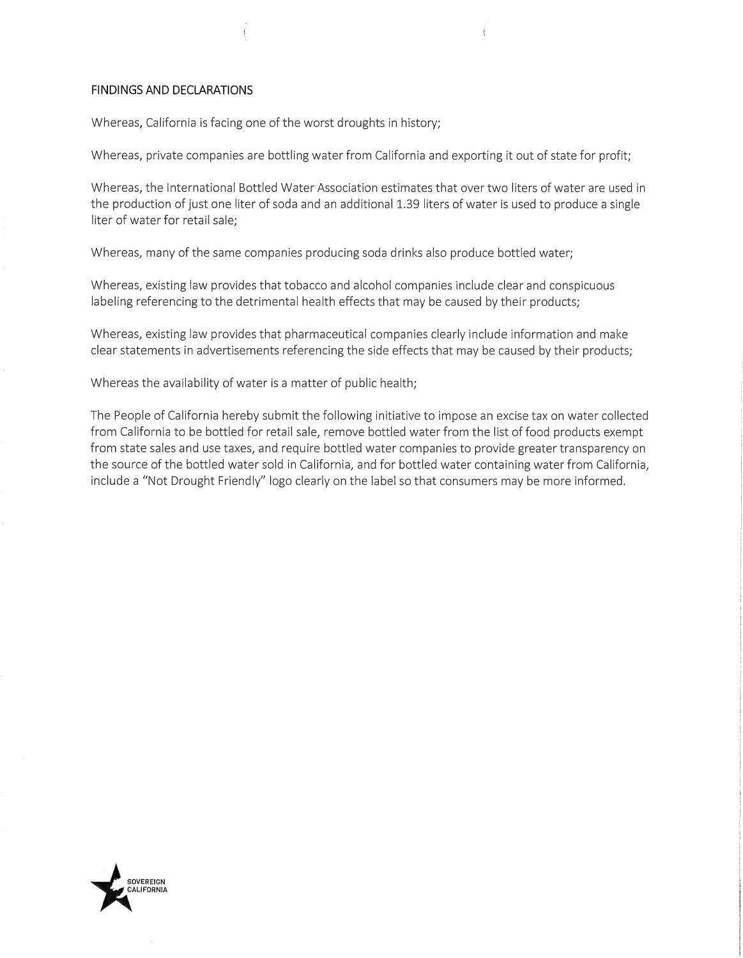#### **FINDINGS AND DECLARATIONS**

Whereas, California is facing one of the worst droughts in history;

Whereas, private companies are bottling water from California and exporting it out of state for profit;

Whereas, the International Bottled Water Association estimates that over two liters of water are used in the production of just one liter of soda and an additional 1.39 liters of water is used to produce a single liter of water for retail sale;

Whereas, many of the same companies producing soda drinks also produce bottled water;

Whereas, existing law provides that tobacco and alcohol companies include clear and conspicuous labeling referencing to the detrimental health effects that may be caused by their products;

Whereas, existing law provides that pharmaceutical companies clearly include information and make clear statements in advertisements referencing the side effects that may be caused by their products;

Whereas the availability of water is a matter of public health;

The People of California hereby submit the following initiative to impose an excise tax on water collected from California to be bottled for retail sale, remove bottled water from the list of food products exempt from state sales and use taxes, and require bottled water companies to provide greater transparency on the source of the bottled water sold in California, and for bottled water containing water from California, include a "Not Drought Friendly" logo clearly on the label so that consumers may be more informed.

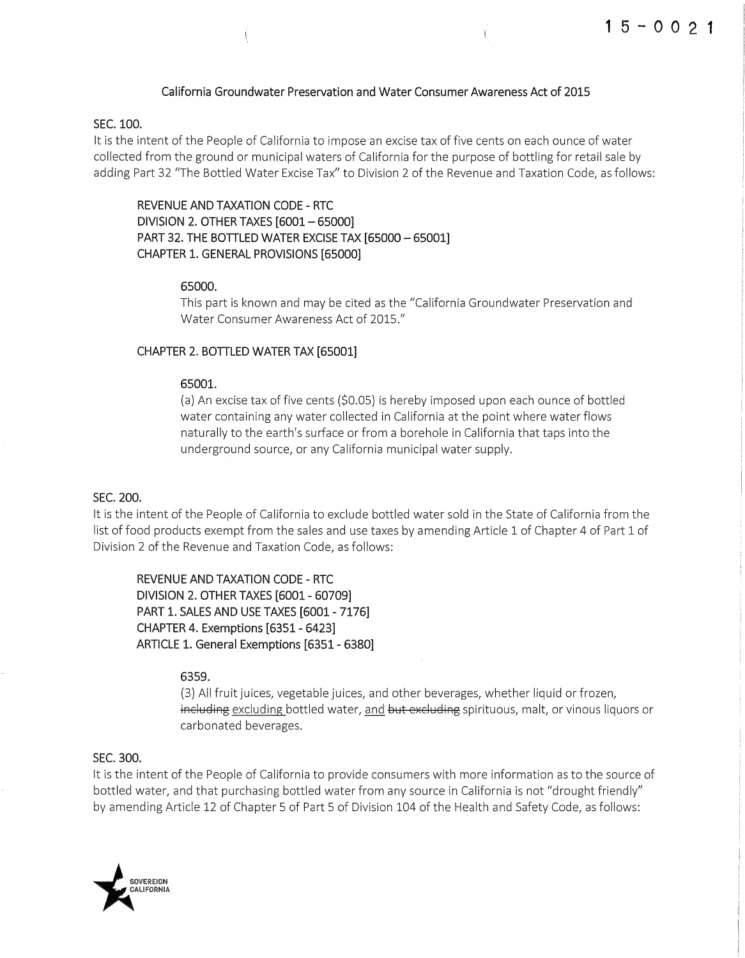#### **California Groundwater Preservation and Water Consumer Awareness Act of 2015**

#### **SEC.100.**

It is the intent of the People of California to impose an excise tax of five cents on each ounce of water collected from the ground or municipal waters of California for the purpose of bottling for retail sale by adding Part 32 "The Bottled Water Excise Tax" to Division 2 of the Revenue and Taxation Code, as follows:

**REVENUE AND TAXATION CODE- RTC DIVISION 2. OTHER TAXES [6001- 65000] PART 32. THE BOTILED WATER EXCISE TAX [65000- 65001] CHAPTER 1. GENERAL PROVISIONS [65000]** 

#### **65000.**

This part is known and may be cited as the "California Groundwater Preservation and Water Consumer Awareness Act of 2015."

#### **CHAPTER 2. BOTILED WATER TAX [65001]**

 $\overline{\mathcal{L}}$ 

#### **65001.**

(a) An excise tax offive cents {\$0.05) is hereby imposed upon each ounce of bottled water containing any water collected in California at the point where water flows naturally to the earth's surface or from a borehole in California that taps into the underground source, or any California municipal water supply.

#### **SEC. 200.**

It is the intent of the People of California to exclude bottled water sold in the State of California from the list of food products exempt from the sales and use taxes by amending Article 1 of Chapter 4 of Part 1 of Division 2 of the Revenue and Taxation Code, as follows:

**REVENUE AND TAXATION CODE- RTC DIVISION 2. OTHER TAXES [6001- 60709] PART 1. SALES AND USE TAXES [6001- 7176] CHAPTER 4. Exemptions [6351 - 6423] ARTICLE 1. General Exemptions [6351- 6380]** 

#### **6359.**

{3) All fruit juices, vegetable juices, and other beverages, whether liquid or frozen, including excluding bottled water, and but excluding spirituous, malt, or vinous liquors or carbonated beverages.

#### **SEC. 300.**

It is the intent of the People of California to provide consumers with more information as to the source of bottled water, and that purchasing bottled water from any source in California is not "drought friendly" by amending Article 12 of Chapter 5 of Part 5 of Division 104 of the Health and Safety Code, as follows:

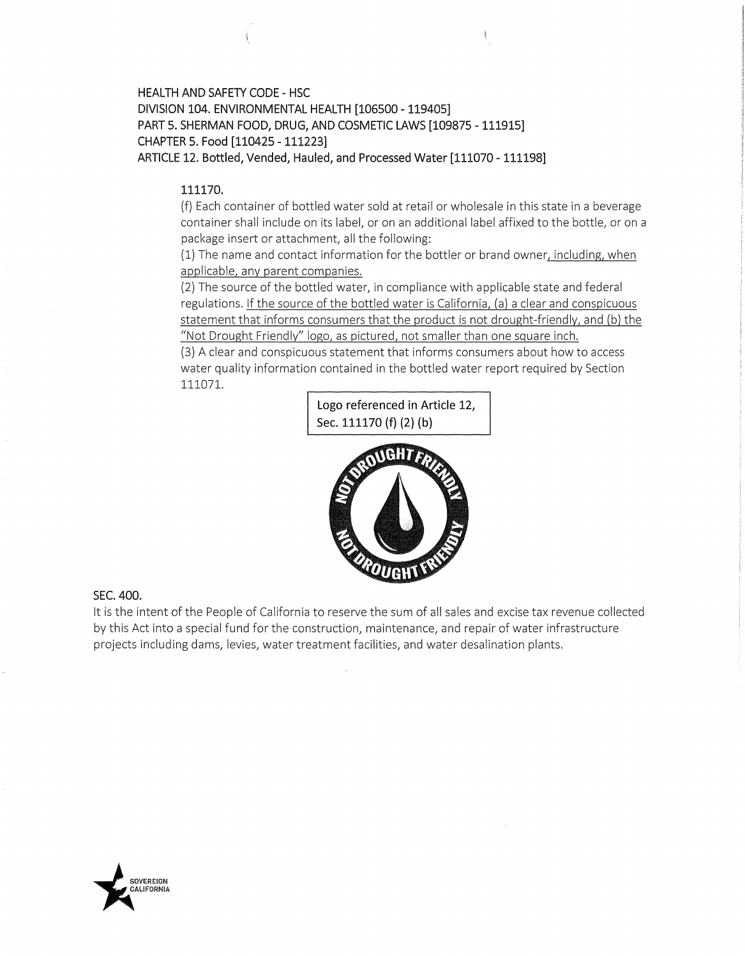## **HEALTH AND SAFETY CODE - HSC DIVISION 104. ENVIRONMENTAL HEALTH [106500- 119405] PART 5. SHERMAN FOOD, DRUG, AND COSMETIC LAWS [109875- 111915] CHAPTER 5. Food [110425- 111223] ARTICLE 12. Bottled, Vended, Hauled, and Processed Water [111070- 111198]**

#### **111170.**

(f) Each container of bottled water sold at retail or wholesale in this state in a beverage container shall include on its label, or on an additional label affixed to the bottle, or on a package insert or attachment, all the following:

(1) The name and contact information for the bottler or brand owner, including, when applicable, any parent companies.

(2) The source of the bottled water, in compliance with applicable state and federal regulations. If the source of the bottled water is California, (a) a clear and conspicuous statement that informs consumers that the product is not drought-friendly, and (b) the "Not Drought Friendly" logo, as pictured, not smaller than one square inch.

(3) A clear and conspicuous statement that informs consumers about how to access water quality information contained in the bottled water report required by Section 111071.





#### **SEC. 400.**

It is the intent of the People of California to reserve the sum of all sales and excise tax revenue collected by this Act into a special fund for the construction, maintenance, and repair of water infrastructure projects including dams, levies, water treatment facilities, and water desalination plants .